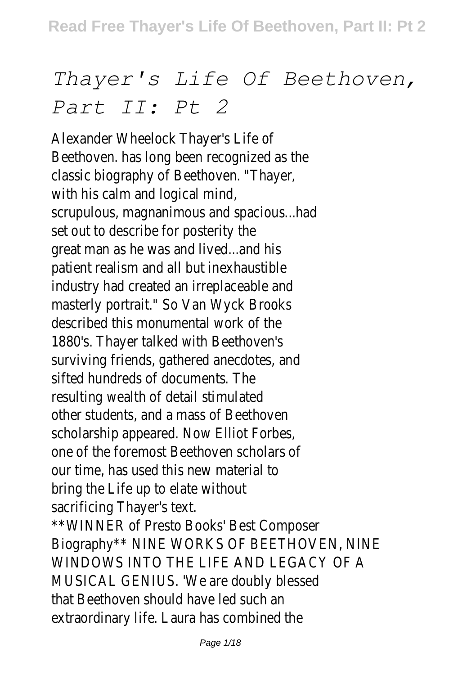# *Thayer's Life Of Beethoven, Part II: Pt 2*

Alexander Wheelock Thayer's Life Beethoven. has long been recognized as classic biography of Beethoven. "Thay with his calm and logical m scrupulous, magnanimous and spacious. set out to describe for posterit great man as he was and lived...an patient realism and all but inexhaust industry had created an irreplaceable masterly portrait." So Van Wyck Br described this monumental work of 1880's. Thayer talked with Beetho surviving friends, gathered anecdotes sifted hundreds of documents. resulting wealth of detail stimul other students, and a mass of Beeth scholarship appeared. Now Elliot For one of the foremost Beethoven scholars of our time, has used this new mater bring the Life up to elate with sacrificing Thayer's te \*\*WINNER of Presto Books' Best Com Biography\*\* NINE WORKS OF BEETHOVEN

WINDOWS INTO THE LIFE AND LEGACY MUSICAL GENIUS. 'We are doubly ble that Beethoven should have led such extraordinary life. Laura has combine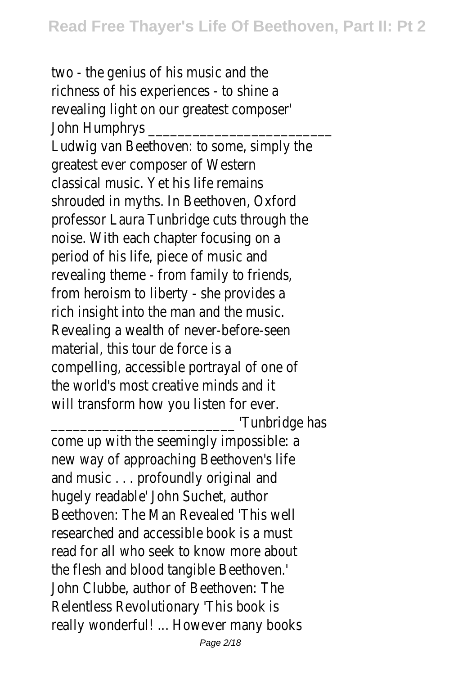two - the genius of his music and richness of his experiences - to shing revealing light on our greatest comp John Humphrys Ludwig van Beethoven: to some, simply greatest ever composer of West classical music. Yet his life rem shrouded in myths. In Beethoven, O professor Laura Tunbridge cuts through noise. With each chapter focusing period of his life, piece of music revealing theme - from family to fr from heroism to liberty - she provi rich insight into the man and the r Revealing a wealth of never-beforematerial, this tour de force compelling, accessible portrayal of one the world's most creative minds and it has verified to minds and it and it and it and it and it and it and it and it and it and it and it and it and it and it and it and it and it and it and it and it and it and it and it will transform how you listen for \_\_\_\_\_\_\_\_\_\_\_\_\_\_\_\_\_\_\_\_\_\_\_\_\_ 'Tunbridge has

come up with the seemingly impossi new way of approaching Beethoven and music . . . profoundly original hugely readable' John Suchet, au Beethoven: The Man Revealed 'This researched and accessible book is a must read for all who seek to know more the flesh and blood tangible Beeth John Clubbe, author of Beethoven Relentless Revolutionary 'This book really wonderful! ... However many b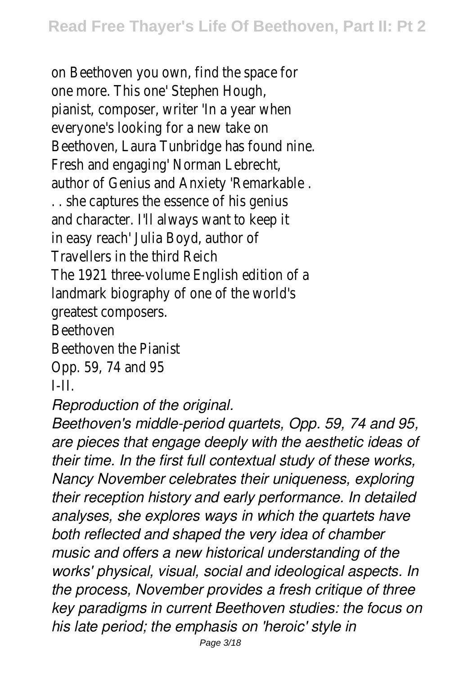on Beethoven you own, find the space one more. This one' Stephen Hough pianist, composer, writer 'In a year everyone's looking for a new tak Beethoven, Laura Tunbridge has found Fresh and engaging' Norman Lebre author of Genius and Anxiety 'Remark .. she captures the essence of his c and character. I'll always want to ke in easy reach' Julia Boyd, author Travellers in the third  $Re$ The 1921 three-volume English edition landmark biography of one of the w greatest compose **Beethove** Beethoven the Pian Opp. 59, 74 and I-II.

*Reproduction of the original.*

*Beethoven's middle-period quartets, Opp. 59, 74 and 95, are pieces that engage deeply with the aesthetic ideas of their time. In the first full contextual study of these works, Nancy November celebrates their uniqueness, exploring their reception history and early performance. In detailed analyses, she explores ways in which the quartets have both reflected and shaped the very idea of chamber music and offers a new historical understanding of the works' physical, visual, social and ideological aspects. In the process, November provides a fresh critique of three key paradigms in current Beethoven studies: the focus on his late period; the emphasis on 'heroic' style in*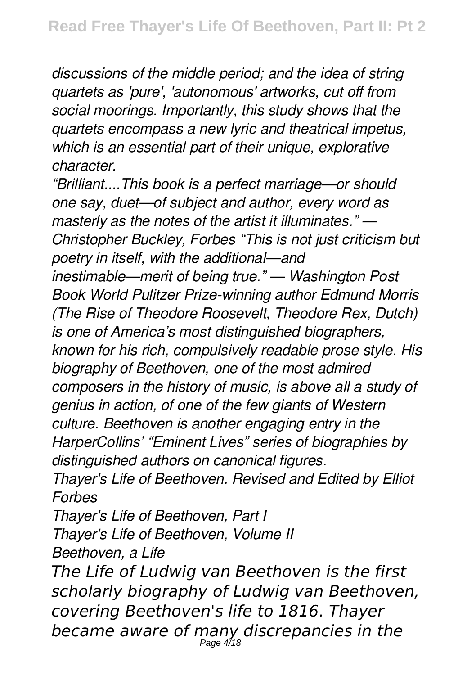*discussions of the middle period; and the idea of string quartets as 'pure', 'autonomous' artworks, cut off from social moorings. Importantly, this study shows that the quartets encompass a new lyric and theatrical impetus, which is an essential part of their unique, explorative character.*

*"Brilliant....This book is a perfect marriage—or should one say, duet—of subject and author, every word as masterly as the notes of the artist it illuminates." — Christopher Buckley, Forbes "This is not just criticism but poetry in itself, with the additional—and inestimable—merit of being true." — Washington Post Book World Pulitzer Prize-winning author Edmund Morris (The Rise of Theodore Roosevelt, Theodore Rex, Dutch) is one of America's most distinguished biographers, known for his rich, compulsively readable prose style. His biography of Beethoven, one of the most admired composers in the history of music, is above all a study of genius in action, of one of the few giants of Western culture. Beethoven is another engaging entry in the HarperCollins' "Eminent Lives" series of biographies by distinguished authors on canonical figures. Thayer's Life of Beethoven. Revised and Edited by Elliot Forbes Thayer's Life of Beethoven, Part I Thayer's Life of Beethoven, Volume II Beethoven, a Life The Life of Ludwig van Beethoven is the first scholarly biography of Ludwig van Beethoven, covering Beethoven's life to 1816. Thayer became aware of many discrepancies in the* Page 4/18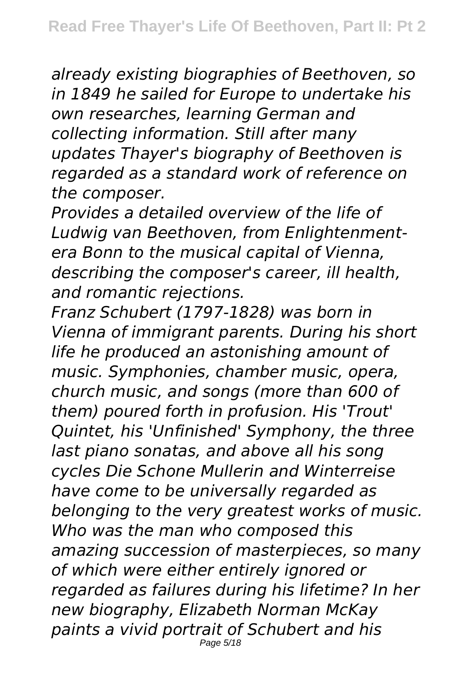*already existing biographies of Beethoven, so in 1849 he sailed for Europe to undertake his own researches, learning German and collecting information. Still after many updates Thayer's biography of Beethoven is regarded as a standard work of reference on the composer.*

*Provides a detailed overview of the life of Ludwig van Beethoven, from Enlightenmentera Bonn to the musical capital of Vienna, describing the composer's career, ill health, and romantic rejections.*

*Franz Schubert (1797-1828) was born in Vienna of immigrant parents. During his short life he produced an astonishing amount of music. Symphonies, chamber music, opera, church music, and songs (more than 600 of them) poured forth in profusion. His 'Trout' Quintet, his 'Unfinished' Symphony, the three last piano sonatas, and above all his song cycles Die Schone Mullerin and Winterreise have come to be universally regarded as belonging to the very greatest works of music. Who was the man who composed this amazing succession of masterpieces, so many of which were either entirely ignored or regarded as failures during his lifetime? In her new biography, Elizabeth Norman McKay paints a vivid portrait of Schubert and his* Page 5/18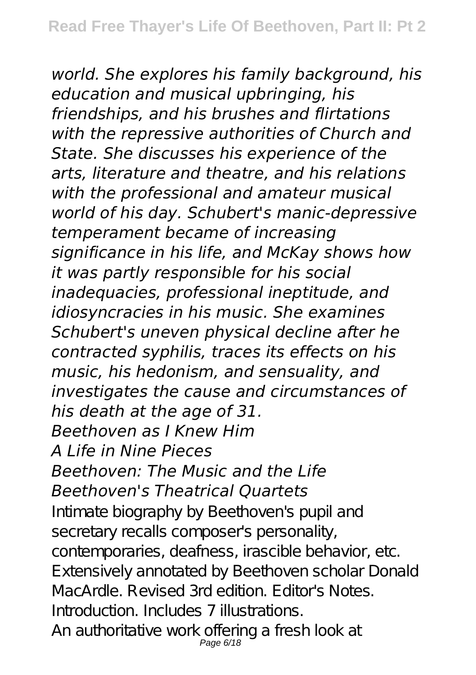*world. She explores his family background, his education and musical upbringing, his friendships, and his brushes and flirtations with the repressive authorities of Church and State. She discusses his experience of the arts, literature and theatre, and his relations with the professional and amateur musical world of his day. Schubert's manic-depressive temperament became of increasing significance in his life, and McKay shows how it was partly responsible for his social inadequacies, professional ineptitude, and idiosyncracies in his music. She examines Schubert's uneven physical decline after he contracted syphilis, traces its effects on his music, his hedonism, and sensuality, and investigates the cause and circumstances of his death at the age of 31. Beethoven as I Knew Him A Life in Nine Pieces Beethoven: The Music and the Life*

*Beethoven's Theatrical Quartets*

Intimate biography by Beethoven's pupil and secretary recalls composer's personality, contemporaries, deafness, irascible behavior, etc. Extensively annotated by Beethoven scholar Donald MacArdle. Revised 3rd edition. Editor's Notes. Introduction. Includes 7 illustrations. An authoritative work offering a fresh look at Page 6/18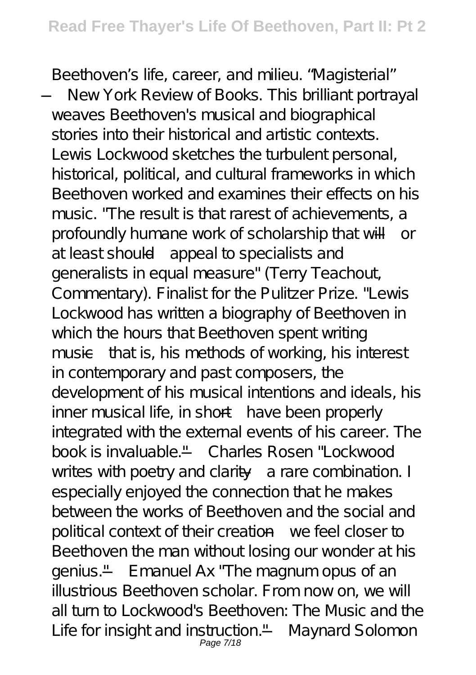Beethoven's life, career, and milieu. "Magisterial" —New York Review of Books. This brilliant portrayal weaves Beethoven's musical and biographical stories into their historical and artistic contexts. Lewis Lockwood sketches the turbulent personal, historical, political, and cultural frameworks in which Beethoven worked and examines their effects on his music. "The result is that rarest of achievements, a profoundly humane work of scholarship that will—or at least should—appeal to specialists and generalists in equal measure" (Terry Teachout, Commentary). Finalist for the Pulitzer Prize. "Lewis Lockwood has written a biography of Beethoven in which the hours that Beethoven spent writing music—that is, his methods of working, his interest in contemporary and past composers, the development of his musical intentions and ideals, his inner musical life, in short—have been properly integrated with the external events of his career. The book is invaluable." —Charles Rosen "Lockwood writes with poetry and clarity—a rare combination. I especially enjoyed the connection that he makes between the works of Beethoven and the social and political context of their creation—we feel closer to Beethoven the man without losing our wonder at his genius." —Emanuel Ax "The magnum opus of an illustrious Beethoven scholar. From now on, we will all turn to Lockwood's Beethoven: The Music and the Life for insight and instruction." —Maynard Solomon<br>Page 7/18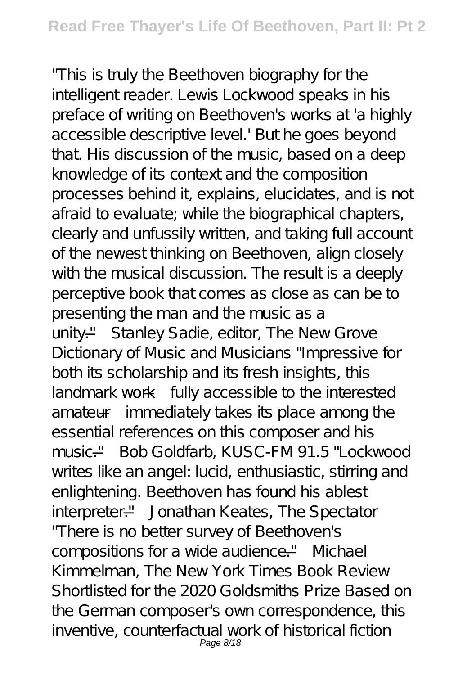"This is truly the Beethoven biography for the intelligent reader. Lewis Lockwood speaks in his preface of writing on Beethoven's works at 'a highly accessible descriptive level.' But he goes beyond that. His discussion of the music, based on a deep knowledge of its context and the composition processes behind it, explains, elucidates, and is not afraid to evaluate; while the biographical chapters, clearly and unfussily written, and taking full account of the newest thinking on Beethoven, align closely with the musical discussion. The result is a deeply perceptive book that comes as close as can be to presenting the man and the music as a unity."—Stanley Sadie, editor, The New Grove Dictionary of Music and Musicians "Impressive for both its scholarship and its fresh insights, this landmark work—fully accessible to the interested amateur—immediately takes its place among the essential references on this composer and his music."—Bob Goldfarb, KUSC-FM 91.5 "Lockwood writes like an angel: lucid, enthusiastic, stirring and enlightening. Beethoven has found his ablest interpreter."—Jonathan Keates, The Spectator "There is no better survey of Beethoven's compositions for a wide audience."—Michael Kimmelman, The New York Times Book Review Shortlisted for the 2020 Goldsmiths Prize Based on the German composer's own correspondence, this inventive, counterfactual work of historical fiction Page 8/18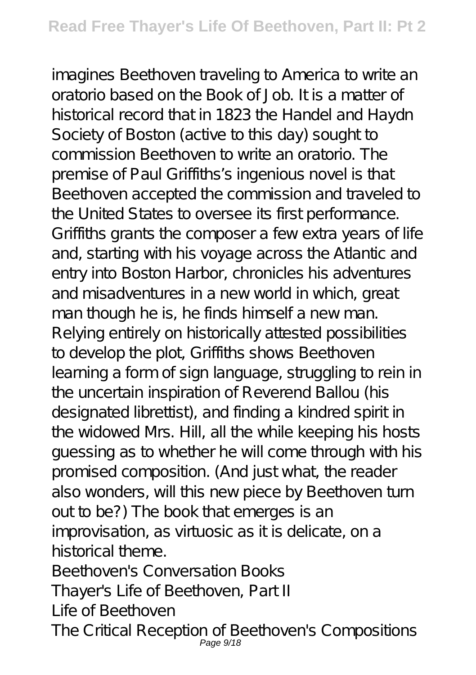imagines Beethoven traveling to America to write an oratorio based on the Book of Job. It is a matter of historical record that in 1823 the Handel and Haydn Society of Boston (active to this day) sought to commission Beethoven to write an oratorio. The premise of Paul Griffiths' singenious novel is that Beethoven accepted the commission and traveled to the United States to oversee its first performance. Griffiths grants the composer a few extra years of life and, starting with his voyage across the Atlantic and entry into Boston Harbor, chronicles his adventures and misadventures in a new world in which, great man though he is, he finds himself a new man. Relying entirely on historically attested possibilities to develop the plot, Griffiths shows Beethoven learning a form of sign language, struggling to rein in the uncertain inspiration of Reverend Ballou (his designated librettist), and finding a kindred spirit in the widowed Mrs. Hill, all the while keeping his hosts guessing as to whether he will come through with his promised composition. (And just what, the reader also wonders, will this new piece by Beethoven turn out to be?) The book that emerges is an improvisation, as virtuosic as it is delicate, on a historical theme. Beethoven's Conversation Books Thayer's Life of Beethoven, Part II Life of Beethoven

The Critical Reception of Beethoven's Compositions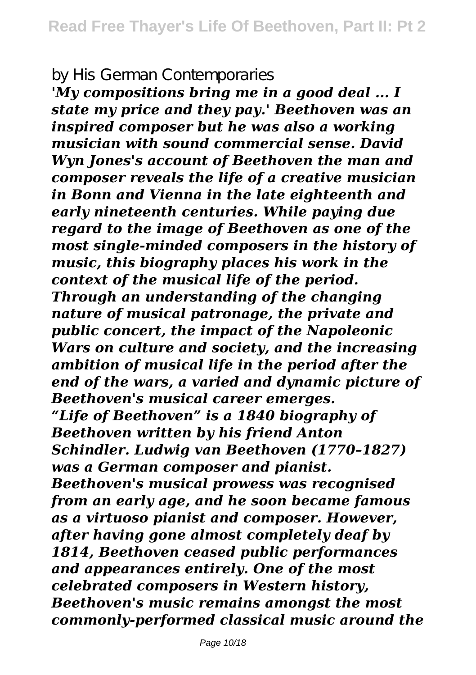## by His German Contemporaries

*'My compositions bring me in a good deal ... I state my price and they pay.' Beethoven was an inspired composer but he was also a working musician with sound commercial sense. David Wyn Jones's account of Beethoven the man and composer reveals the life of a creative musician in Bonn and Vienna in the late eighteenth and early nineteenth centuries. While paying due regard to the image of Beethoven as one of the most single-minded composers in the history of music, this biography places his work in the context of the musical life of the period. Through an understanding of the changing nature of musical patronage, the private and public concert, the impact of the Napoleonic Wars on culture and society, and the increasing ambition of musical life in the period after the end of the wars, a varied and dynamic picture of Beethoven's musical career emerges. "Life of Beethoven" is a 1840 biography of Beethoven written by his friend Anton Schindler. Ludwig van Beethoven (1770–1827) was a German composer and pianist. Beethoven's musical prowess was recognised from an early age, and he soon became famous as a virtuoso pianist and composer. However, after having gone almost completely deaf by 1814, Beethoven ceased public performances and appearances entirely. One of the most celebrated composers in Western history, Beethoven's music remains amongst the most commonly-performed classical music around the*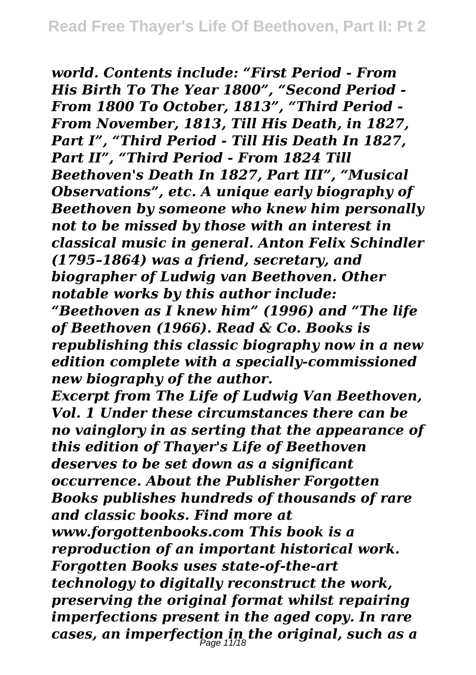*world. Contents include: "First Period - From His Birth To The Year 1800", "Second Period - From 1800 To October, 1813", "Third Period - From November, 1813, Till His Death, in 1827, Part I", "Third Period - Till His Death In 1827, Part II", "Third Period - From 1824 Till Beethoven's Death In 1827, Part III", "Musical Observations", etc. A unique early biography of Beethoven by someone who knew him personally not to be missed by those with an interest in classical music in general. Anton Felix Schindler (1795–1864) was a friend, secretary, and biographer of Ludwig van Beethoven. Other notable works by this author include: "Beethoven as I knew him" (1996) and "The life of Beethoven (1966). Read & Co. Books is republishing this classic biography now in a new edition complete with a specially-commissioned new biography of the author. Excerpt from The Life of Ludwig Van Beethoven, Vol. 1 Under these circumstances there can be no vainglory in as serting that the appearance of this edition of Thayer's Life of Beethoven deserves to be set down as a significant occurrence. About the Publisher Forgotten Books publishes hundreds of thousands of rare and classic books. Find more at www.forgottenbooks.com This book is a reproduction of an important historical work. Forgotten Books uses state-of-the-art technology to digitally reconstruct the work, preserving the original format whilst repairing imperfections present in the aged copy. In rare cases, an imperfection in the original, such as a* Page 11/18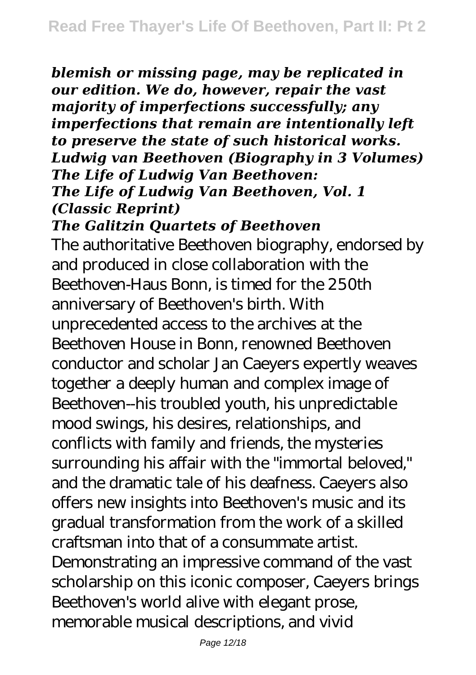*blemish or missing page, may be replicated in our edition. We do, however, repair the vast majority of imperfections successfully; any imperfections that remain are intentionally left to preserve the state of such historical works. Ludwig van Beethoven (Biography in 3 Volumes) The Life of Ludwig Van Beethoven: The Life of Ludwig Van Beethoven, Vol. 1 (Classic Reprint)*

#### *The Galitzin Quartets of Beethoven*

The authoritative Beethoven biography, endorsed by and produced in close collaboration with the Beethoven-Haus Bonn, is timed for the 250th anniversary of Beethoven's birth. With unprecedented access to the archives at the Beethoven House in Bonn, renowned Beethoven conductor and scholar Jan Caeyers expertly weaves together a deeply human and complex image of Beethoven--his troubled youth, his unpredictable mood swings, his desires, relationships, and conflicts with family and friends, the mysteries surrounding his affair with the "immortal beloved," and the dramatic tale of his deafness. Caeyers also offers new insights into Beethoven's music and its gradual transformation from the work of a skilled craftsman into that of a consummate artist. Demonstrating an impressive command of the vast scholarship on this iconic composer, Caeyers brings Beethoven's world alive with elegant prose, memorable musical descriptions, and vivid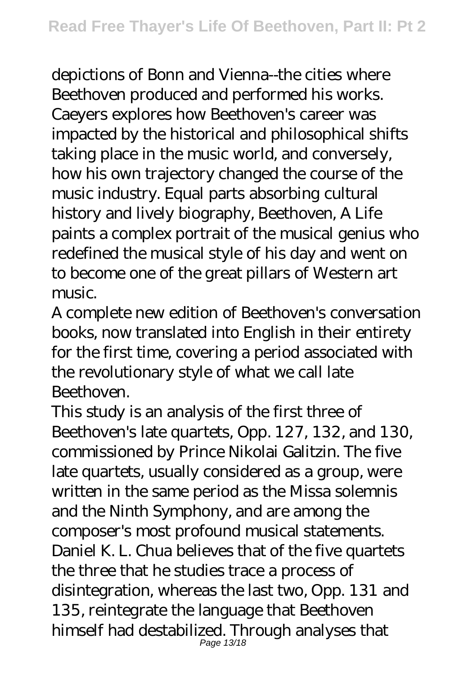depictions of Bonn and Vienna--the cities where Beethoven produced and performed his works. Caeyers explores how Beethoven's career was impacted by the historical and philosophical shifts taking place in the music world, and conversely, how his own trajectory changed the course of the music industry. Equal parts absorbing cultural history and lively biography, Beethoven, A Life paints a complex portrait of the musical genius who redefined the musical style of his day and went on to become one of the great pillars of Western art music.

A complete new edition of Beethoven's conversation books, now translated into English in their entirety for the first time, covering a period associated with the revolutionary style of what we call late Beethoven.

This study is an analysis of the first three of Beethoven's late quartets, Opp. 127, 132, and 130, commissioned by Prince Nikolai Galitzin. The five late quartets, usually considered as a group, were written in the same period as the Missa solemnis and the Ninth Symphony, and are among the composer's most profound musical statements. Daniel K. L. Chua believes that of the five quartets the three that he studies trace a process of disintegration, whereas the last two, Opp. 131 and 135, reintegrate the language that Beethoven himself had destabilized. Through analyses that Page 13/18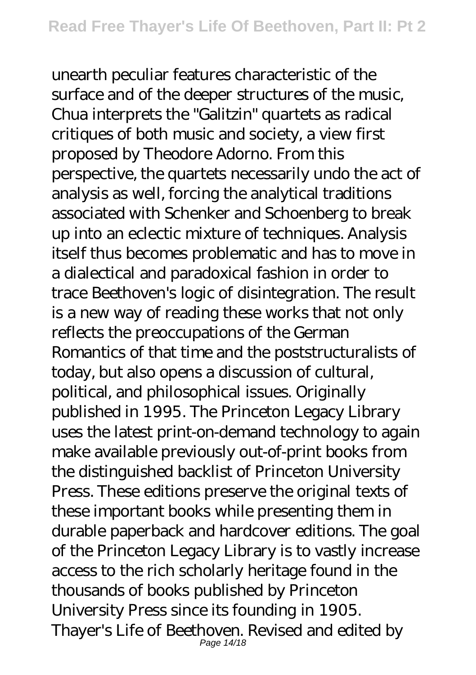unearth peculiar features characteristic of the surface and of the deeper structures of the music, Chua interprets the "Galitzin" quartets as radical critiques of both music and society, a view first proposed by Theodore Adorno. From this perspective, the quartets necessarily undo the act of analysis as well, forcing the analytical traditions associated with Schenker and Schoenberg to break up into an eclectic mixture of techniques. Analysis itself thus becomes problematic and has to move in a dialectical and paradoxical fashion in order to trace Beethoven's logic of disintegration. The result is a new way of reading these works that not only reflects the preoccupations of the German Romantics of that time and the poststructuralists of today, but also opens a discussion of cultural, political, and philosophical issues. Originally published in 1995. The Princeton Legacy Library uses the latest print-on-demand technology to again make available previously out-of-print books from the distinguished backlist of Princeton University Press. These editions preserve the original texts of these important books while presenting them in durable paperback and hardcover editions. The goal of the Princeton Legacy Library is to vastly increase access to the rich scholarly heritage found in the thousands of books published by Princeton University Press since its founding in 1905. Thayer's Life of Beethoven. Revised and edited by Page 14/18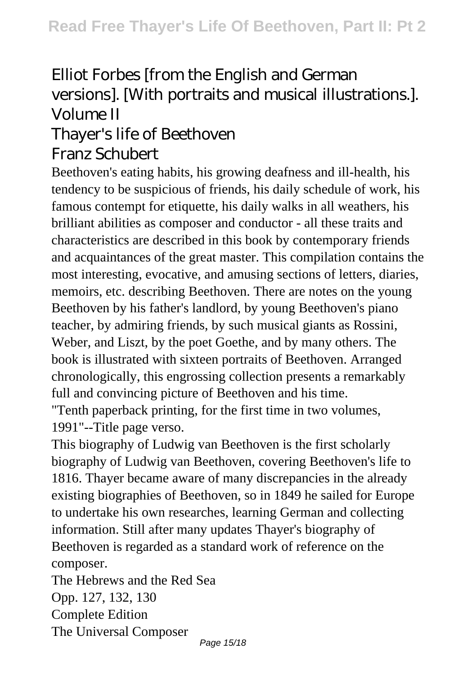# Elliot Forbes [from the English and German versions]. [With portraits and musical illustrations.]. Volume II

### Thayer's life of Beethoven

### Franz Schubert

Beethoven's eating habits, his growing deafness and ill-health, his tendency to be suspicious of friends, his daily schedule of work, his famous contempt for etiquette, his daily walks in all weathers, his brilliant abilities as composer and conductor - all these traits and characteristics are described in this book by contemporary friends and acquaintances of the great master. This compilation contains the most interesting, evocative, and amusing sections of letters, diaries, memoirs, etc. describing Beethoven. There are notes on the young Beethoven by his father's landlord, by young Beethoven's piano teacher, by admiring friends, by such musical giants as Rossini, Weber, and Liszt, by the poet Goethe, and by many others. The book is illustrated with sixteen portraits of Beethoven. Arranged chronologically, this engrossing collection presents a remarkably full and convincing picture of Beethoven and his time.

"Tenth paperback printing, for the first time in two volumes, 1991"--Title page verso.

This biography of Ludwig van Beethoven is the first scholarly biography of Ludwig van Beethoven, covering Beethoven's life to 1816. Thayer became aware of many discrepancies in the already existing biographies of Beethoven, so in 1849 he sailed for Europe to undertake his own researches, learning German and collecting information. Still after many updates Thayer's biography of Beethoven is regarded as a standard work of reference on the composer.

The Hebrews and the Red Sea Opp. 127, 132, 130 Complete Edition The Universal Composer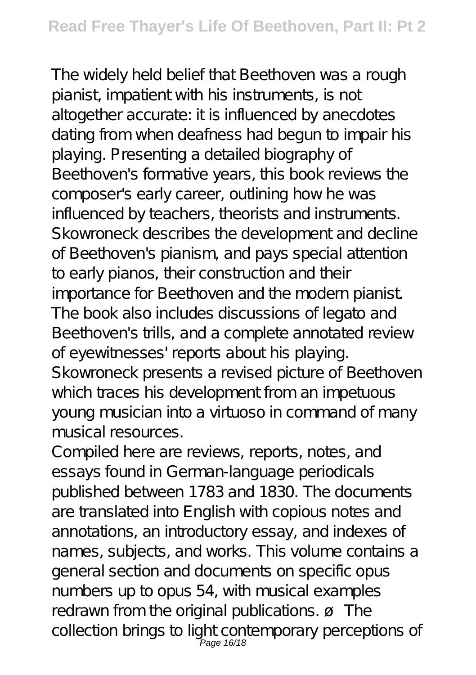The widely held belief that Beethoven was a rough pianist, impatient with his instruments, is not altogether accurate: it is influenced by anecdotes dating from when deafness had begun to impair his playing. Presenting a detailed biography of Beethoven's formative years, this book reviews the composer's early career, outlining how he was influenced by teachers, theorists and instruments. Skowroneck describes the development and decline of Beethoven's pianism, and pays special attention to early pianos, their construction and their importance for Beethoven and the modern pianist. The book also includes discussions of legato and Beethoven's trills, and a complete annotated review of eyewitnesses' reports about his playing. Skowroneck presents a revised picture of Beethoven which traces his development from an impetuous young musician into a virtuoso in command of many musical resources.

Compiled here are reviews, reports, notes, and essays found in German-language periodicals published between 1783 and 1830. The documents are translated into English with copious notes and annotations, an introductory essay, and indexes of names, subjects, and works. This volume contains a general section and documents on specific opus numbers up to opus 54, with musical examples redrawn from the original publications.  $\varnothing$  The collection brings to light contemporary perceptions of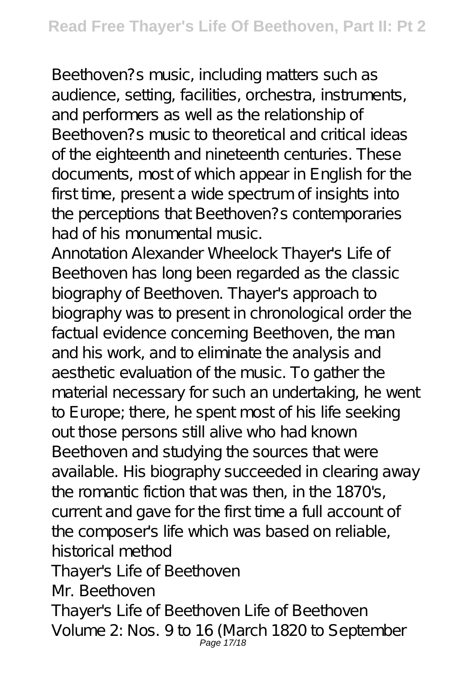Beethoven?s music, including matters such as audience, setting, facilities, orchestra, instruments, and performers as well as the relationship of Beethoven?s music to theoretical and critical ideas of the eighteenth and nineteenth centuries. These documents, most of which appear in English for the first time, present a wide spectrum of insights into the perceptions that Beethoven?s contemporaries had of his monumental music.

Annotation Alexander Wheelock Thayer's Life of Beethoven has long been regarded as the classic biography of Beethoven. Thayer's approach to biography was to present in chronological order the factual evidence concerning Beethoven, the man and his work, and to eliminate the analysis and aesthetic evaluation of the music. To gather the material necessary for such an undertaking, he went to Europe; there, he spent most of his life seeking out those persons still alive who had known Beethoven and studying the sources that were available. His biography succeeded in clearing away the romantic fiction that was then, in the 1870's, current and gave for the first time a full account of the composer's life which was based on reliable, historical method Thayer's Life of Beethoven Mr. Beethoven Thayer's Life of Beethoven Life of Beethoven Volume 2: Nos. 9 to 16 (March 1820 to September